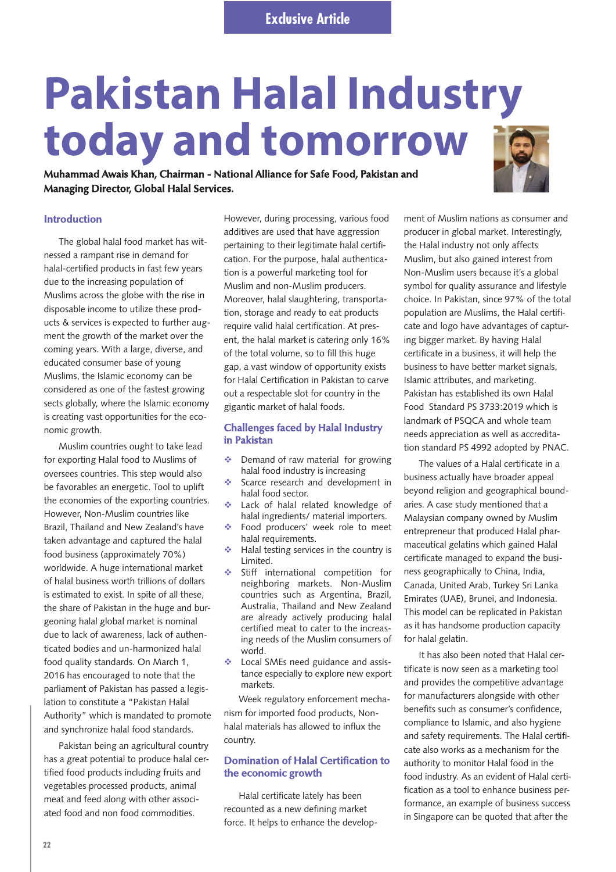# **Pakistan Halal Industry today and tomorrow**

**Muhammad Awais Khan, Chairman - National Alliance for Safe Food, Pakistan and Managing Director, Global Halal Services.**

### **Introduction**

The global halal food market has witnessed a rampant rise in demand for halal-certified products in fast few years due to the increasing population of Muslims across the globe with the rise in disposable income to utilize these products & services is expected to further augment the growth of the market over the coming years. With a large, diverse, and educated consumer base of young Muslims, the Islamic economy can be considered as one of the fastest growing sects globally, where the Islamic economy is creating vast opportunities for the economic growth.

Muslim countries ought to take lead for exporting Halal food to Muslims of oversees countries. This step would also be favorables an energetic. Tool to uplift the economies of the exporting countries. However, Non-Muslim countries like Brazil, Thailand and New Zealand's have taken advantage and captured the halal food business (approximately 70%) worldwide. A huge international market of halal business worth trillions of dollars is estimated to exist. In spite of all these, the share of Pakistan in the huge and burgeoning halal global market is nominal due to lack of awareness, lack of authenticated bodies and un-harmonized halal food quality standards. On March 1, 2016 has encouraged to note that the parliament of Pakistan has passed a legislation to constitute a "Pakistan Halal Authority" which is mandated to promote and synchronize halal food standards.

Pakistan being an agricultural country has a great potential to produce halal certified food products including fruits and vegetables processed products, animal meat and feed along with other associated food and non food commodities.

However, during processing, various food additives are used that have aggression pertaining to their legitimate halal certification. For the purpose, halal authentication is a powerful marketing tool for Muslim and non-Muslim producers. Moreover, halal slaughtering, transportation, storage and ready to eat products require valid halal certification. At present, the halal market is catering only 16% of the total volume, so to fill this huge gap, a vast window of opportunity exists for Halal Certification in Pakistan to carve out a respectable slot for country in the gigantic market of halal foods.

### **Challenges faced by Halal Industry in Pakistan**

- $\mathbf{e}^{\mathbf{e}}$  Demand of raw material for growing halal food industry is increasing
- $\mathcal{L}_{\mathbf{z}}$  Scarce research and development in halal food sector.
- $\mathcal{L}^{\mathcal{L}}$  Lack of halal related knowledge of halal ingredients/ material importers.
- $\mathcal{L}_{\mathbf{r}}$  Food producers' week role to meet halal requirements.
- $\frac{1}{2}$  Halal testing services in the country is Limited.
- $\mathcal{L}_{\mathcal{F}}$  Stiff international competition for neighboring markets. Non-Muslim countries such as Argentina, Brazil, Australia, Thailand and New Zealand are already actively producing halal certified meat to cater to the increasing needs of the Muslim consumers of world.
- - Local SMEs need guidance and assistance especially to explore new export markets.

Week regulatory enforcement mechanism for imported food products, Nonhalal materials has allowed to influx the country.

## **Domination of Halal Certification to the economic growth**

Halal certificate lately has been recounted as a new defining market force. It helps to enhance the develop-

ment of Muslim nations as consumer and producer in global market. Interestingly, the Halal industry not only affects Muslim, but also gained interest from Non-Muslim users because it's a global symbol for quality assurance and lifestyle choice. In Pakistan, since 97% of the total population are Muslims, the Halal certificate and logo have advantages of capturing bigger market. By having Halal certificate in a business, it will help the business to have better market signals, Islamic attributes, and marketing. Pakistan has established its own Halal Food Standard PS 3733:2019 which is landmark of PSQCA and whole team needs appreciation as well as accreditation standard PS 4992 adopted by PNAC.

The values of a Halal certificate in a business actually have broader appeal beyond religion and geographical boundaries. A case study mentioned that a Malaysian company owned by Muslim entrepreneur that produced Halal pharmaceutical gelatins which gained Halal certificate managed to expand the business geographically to China, India, Canada, United Arab, Turkey Sri Lanka Emirates (UAE), Brunei, and Indonesia. This model can be replicated in Pakistan as it has handsome production capacity for halal gelatin.

It has also been noted that Halal certificate is now seen as a marketing tool and provides the competitive advantage for manufacturers alongside with other benefits such as consumer's confidence, compliance to Islamic, and also hygiene and safety requirements. The Halal certificate also works as a mechanism for the authority to monitor Halal food in the food industry. As an evident of Halal certification as a tool to enhance business performance, an example of business success in Singapore can be quoted that after the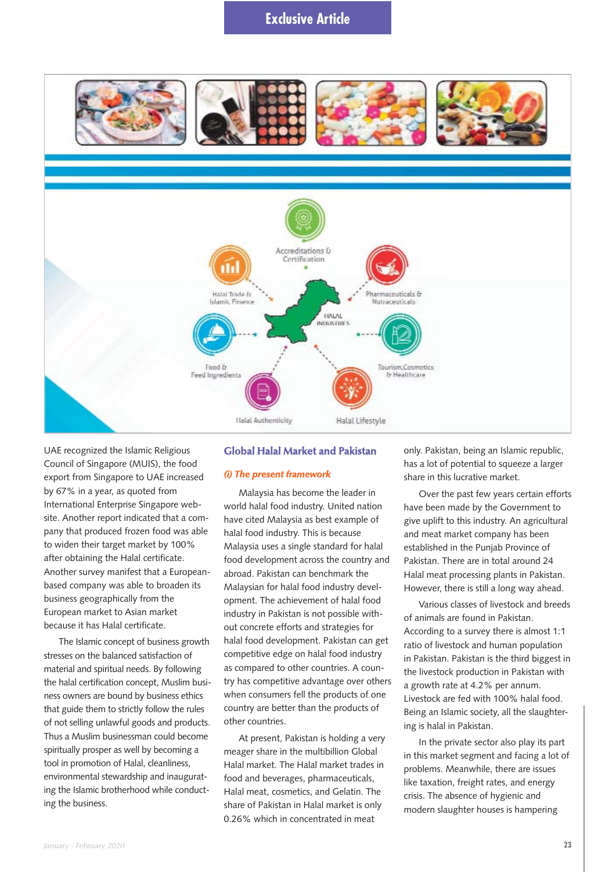# **Exclusive Article**



UAE recognized the Islamic Religious Council of Singapore (MUIS), the food export from Singapore to UAE increased by 67% in a year, as quoted from International Enterprise Singapore website. Another report indicated that a company that produced frozen food was able to widen their target market by 100% after obtaining the Halal certificate. Another survey manifest that a Europeanbased company was able to broaden its business geographically from the European market to Asian market because it has Halal certificate.

The Islamic concept of business growth stresses on the balanced satisfaction of material and spiritual needs. By following the halal certification concept, Muslim business owners are bound by business ethics that guide them to strictly follow the rules of not selling unlawful goods and products. Thus a Muslim businessman could become spiritually prosper as well by becoming a tool in promotion of Halal, cleanliness, environmental stewardship and inaugurating the Islamic brotherhood while conducting the business.

#### **Global Halal Market and Pakistan**

#### *(i) The present framework*

Malaysia has become the leader in world halal food industry. United nation have cited Malaysia as best example of halal food industry. This is because Malaysia uses a single standard for halal food development across the country and abroad. Pakistan can benchmark the Malaysian for halal food industry development. The achievement of halal food industry in Pakistan is not possible without concrete efforts and strategies for halal food development. Pakistan can get competitive edge on halal food industry as compared to other countries. A country has competitive advantage over others when consumers fell the products of one country are better than the products of other countries.

At present, Pakistan is holding a very meager share in the multibillion Global Halal market. The Halal market trades in food and beverages, pharmaceuticals, Halal meat, cosmetics, and Gelatin. The share of Pakistan in Halal market is only 0.26% which in concentrated in meat

only. Pakistan, being an Islamic republic, has a lot of potential to squeeze a larger share in this lucrative market.

Over the past few years certain efforts have been made by the Government to give uplift to this industry. An agricultural and meat market company has been established in the Punjab Province of Pakistan. There are in total around 24 Halal meat processing plants in Pakistan. However, there is still a long way ahead.

Various classes of livestock and breeds of animals are found in Pakistan. According to a survey there is almost 1:1 ratio of livestock and human population in Pakistan. Pakistan is the third biggest in the livestock production in Pakistan with a growth rate at 4.2% per annum. Livestock are fed with 100% halal food. Being an Islamic society, all the slaughtering is halal in Pakistan.

In the private sector also play its part in this market segment and facing a lot of problems. Meanwhile, there are issues like taxation, freight rates, and energy crisis. The absence of hygienic and modern slaughter houses is hampering